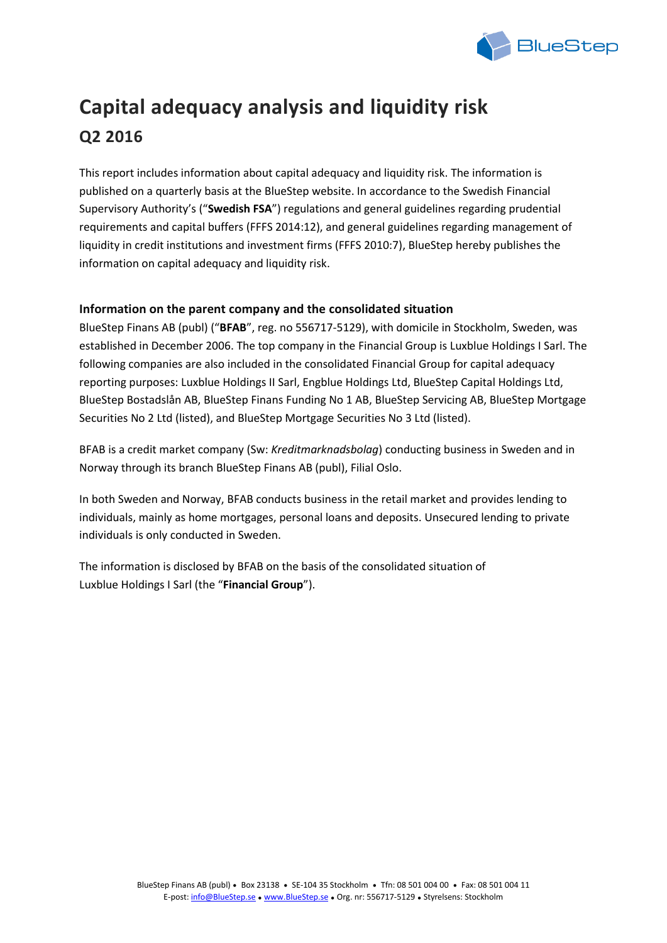

# **Capital adequacy analysis and liquidity risk Q2 2016**

This report includes information about capital adequacy and liquidity risk. The information is published on a quarterly basis at the BlueStep website. In accordance to the Swedish Financial Supervisory Authority's ("**Swedish FSA**") regulations and general guidelines regarding prudential requirements and capital buffers (FFFS 2014:12), and general guidelines regarding management of liquidity in credit institutions and investment firms (FFFS 2010:7), BlueStep hereby publishes the information on capital adequacy and liquidity risk.

## **Information on the parent company and the consolidated situation**

BlueStep Finans AB (publ) ("**BFAB**", reg. no 556717-5129), with domicile in Stockholm, Sweden, was established in December 2006. The top company in the Financial Group is Luxblue Holdings I Sarl. The following companies are also included in the consolidated Financial Group for capital adequacy reporting purposes: Luxblue Holdings II Sarl, Engblue Holdings Ltd, BlueStep Capital Holdings Ltd, BlueStep Bostadslån AB, BlueStep Finans Funding No 1 AB, BlueStep Servicing AB, BlueStep Mortgage Securities No 2 Ltd (listed), and BlueStep Mortgage Securities No 3 Ltd (listed).

BFAB is a credit market company (Sw: *Kreditmarknadsbolag*) conducting business in Sweden and in Norway through its branch BlueStep Finans AB (publ), Filial Oslo.

In both Sweden and Norway, BFAB conducts business in the retail market and provides lending to individuals, mainly as home mortgages, personal loans and deposits. Unsecured lending to private individuals is only conducted in Sweden.

The information is disclosed by BFAB on the basis of the consolidated situation of Luxblue Holdings I Sarl (the "**Financial Group**").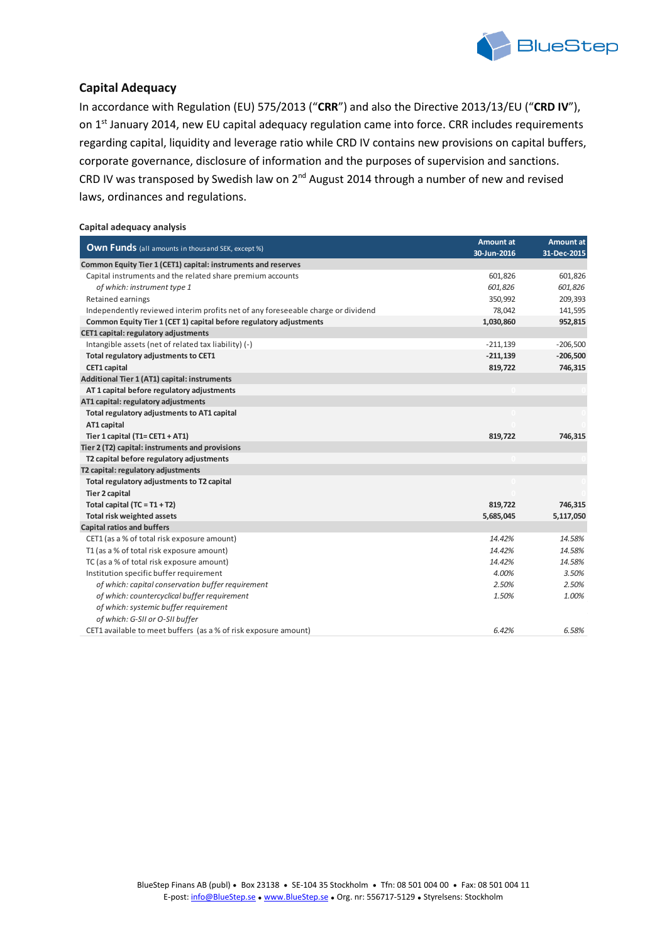

## **Capital Adequacy**

In accordance with Regulation (EU) 575/2013 ("**CRR**") and also the Directive 2013/13/EU ("**CRD IV**"), on 1<sup>st</sup> January 2014, new EU capital adequacy regulation came into force. CRR includes requirements regarding capital, liquidity and leverage ratio while CRD IV contains new provisions on capital buffers, corporate governance, disclosure of information and the purposes of supervision and sanctions. CRD IV was transposed by Swedish law on  $2^{nd}$  August 2014 through a number of new and revised laws, ordinances and regulations.

#### **Capital adequacy analysis**

|                                                                                  | <b>Amount at</b> | <b>Amount at</b> |
|----------------------------------------------------------------------------------|------------------|------------------|
| <b>Own Funds</b> (all amounts in thousand SEK, except %)                         | 30-Jun-2016      | 31-Dec-2015      |
| Common Equity Tier 1 (CET1) capital: instruments and reserves                    |                  |                  |
| Capital instruments and the related share premium accounts                       | 601,826          | 601,826          |
| of which: instrument type 1                                                      | 601,826          | 601,826          |
| Retained earnings                                                                | 350,992          | 209,393          |
| Independently reviewed interim profits net of any foreseeable charge or dividend | 78,042           | 141,595          |
| Common Equity Tier 1 (CET 1) capital before regulatory adjustments               | 1,030,860        | 952,815          |
| CET1 capital: regulatory adjustments                                             |                  |                  |
| Intangible assets (net of related tax liability) (-)                             | $-211,139$       | $-206,500$       |
| Total regulatory adjustments to CET1                                             | $-211,139$       | $-206,500$       |
| <b>CET1</b> capital                                                              | 819,722          | 746,315          |
| Additional Tier 1 (AT1) capital: instruments                                     |                  |                  |
| AT 1 capital before regulatory adjustments                                       |                  |                  |
| AT1 capital: regulatory adjustments                                              |                  |                  |
| Total regulatory adjustments to AT1 capital                                      |                  |                  |
| AT1 capital                                                                      |                  |                  |
| Tier 1 capital (T1= CET1 + AT1)                                                  | 819,722          | 746,315          |
| Tier 2 (T2) capital: instruments and provisions                                  |                  |                  |
| T2 capital before regulatory adjustments                                         |                  |                  |
| T2 capital: regulatory adjustments                                               |                  |                  |
| Total regulatory adjustments to T2 capital                                       |                  |                  |
| <b>Tier 2 capital</b>                                                            |                  |                  |
| Total capital $(TC = T1 + T2)$                                                   | 819,722          | 746,315          |
| Total risk weighted assets                                                       | 5,685,045        | 5,117,050        |
| <b>Capital ratios and buffers</b>                                                |                  |                  |
| CET1 (as a % of total risk exposure amount)                                      | 14.42%           | 14.58%           |
| T1 (as a % of total risk exposure amount)                                        | 14.42%           | 14.58%           |
| TC (as a % of total risk exposure amount)                                        | 14.42%           | 14.58%           |
| Institution specific buffer requirement                                          | 4.00%            | 3.50%            |
| of which: capital conservation buffer requirement                                | 2.50%            | 2.50%            |
| of which: countercyclical buffer requirement                                     | 1.50%            | 1.00%            |
| of which: systemic buffer requirement                                            |                  |                  |
| of which: G-SII or O-SII buffer                                                  |                  |                  |
| CET1 available to meet buffers (as a % of risk exposure amount)                  | 6.42%            | 6.58%            |
|                                                                                  |                  |                  |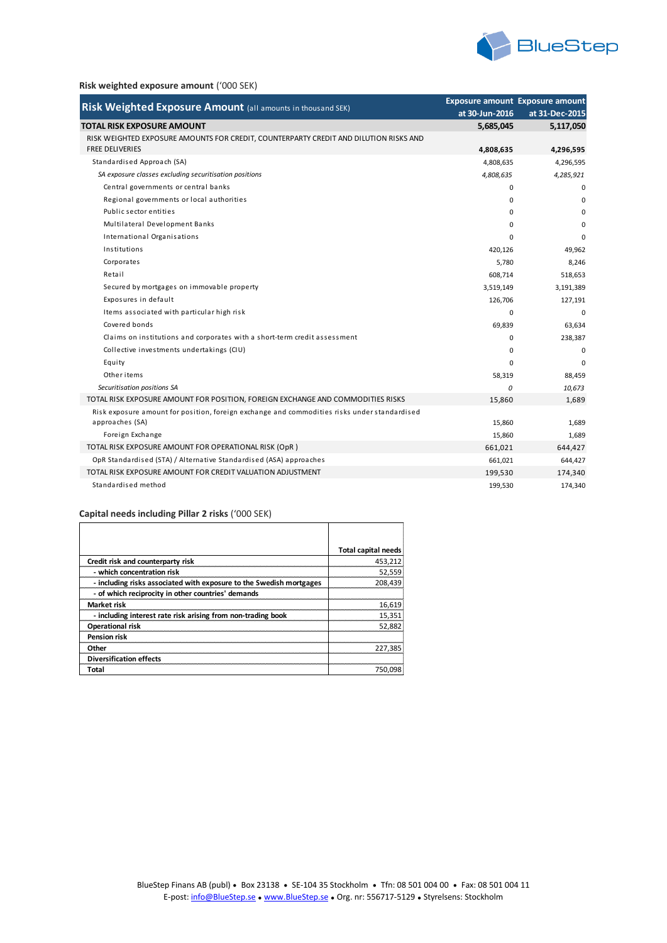

#### **Risk weighted exposure amount** ('000 SEK)

| Risk Weighted Exposure Amount (all amounts in thousand SEK)                                                     |                | <b>Exposure amount Exposure amount</b> |
|-----------------------------------------------------------------------------------------------------------------|----------------|----------------------------------------|
|                                                                                                                 | at 30-Jun-2016 | at 31-Dec-2015                         |
| <b>TOTAL RISK EXPOSURE AMOUNT</b>                                                                               | 5,685,045      | 5,117,050                              |
| RISK WEIGHTED EXPOSURE AMOUNTS FOR CREDIT, COUNTERPARTY CREDIT AND DILUTION RISKS AND<br><b>FREE DELIVERIES</b> | 4,808,635      | 4,296,595                              |
| Standardised Approach (SA)                                                                                      | 4,808,635      | 4,296,595                              |
| SA exposure classes excluding securitisation positions                                                          | 4,808,635      | 4,285,921                              |
| Central governments or central banks                                                                            | $\Omega$       | $\mathbf 0$                            |
| Regional governments or local authorities                                                                       | $\Omega$       | $\mathbf 0$                            |
| Public sector entities                                                                                          | $\Omega$       | $\Omega$                               |
| Multilateral Development Banks                                                                                  | $\Omega$       | $\Omega$                               |
| International Organisations                                                                                     | $\Omega$       | $\mathbf 0$                            |
| Institutions                                                                                                    | 420,126        | 49,962                                 |
| Corporates                                                                                                      | 5,780          | 8,246                                  |
| Retail                                                                                                          | 608,714        | 518,653                                |
| Secured by mortgages on immovable property                                                                      | 3,519,149      | 3,191,389                              |
| Exposures in default                                                                                            | 126,706        | 127,191                                |
| Items associated with particular high risk                                                                      | $\Omega$       | $\Omega$                               |
| Covered bonds                                                                                                   | 69,839         | 63,634                                 |
| Claims on institutions and corporates with a short-term credit assessment                                       | $\Omega$       | 238,387                                |
| Collective investments undertakings (CIU)                                                                       | 0              | $\mathbf 0$                            |
| Equity                                                                                                          | $\Omega$       | $\Omega$                               |
| Other items                                                                                                     | 58,319         | 88,459                                 |
| Securitisation positions SA                                                                                     | $\Omega$       | 10,673                                 |
| TOTAL RISK EXPOSURE AMOUNT FOR POSITION, FOREIGN EXCHANGE AND COMMODITIES RISKS                                 | 15,860         | 1,689                                  |
| Risk exposure amount for position, foreign exchange and commodities risks under standardised                    |                |                                        |
| approaches (SA)                                                                                                 | 15,860         | 1,689                                  |
| Foreign Exchange                                                                                                | 15,860         | 1,689                                  |
| TOTAL RISK EXPOSURE AMOUNT FOR OPERATIONAL RISK (OpR)                                                           | 661,021        | 644,427                                |
| OpR Standardised (STA) / Alternative Standardised (ASA) approaches                                              | 661,021        | 644,427                                |
| TOTAL RISK EXPOSURE AMOUNT FOR CREDIT VALUATION ADJUSTMENT                                                      | 199,530        | 174,340                                |
| Standardised method                                                                                             | 199,530        | 174,340                                |

#### **Capital needs including Pillar 2 risks** ('000 SEK)

|                                                                     | <b>Total capital needs</b> |
|---------------------------------------------------------------------|----------------------------|
| Credit risk and counterparty risk                                   | 453,212                    |
| - which concentration risk                                          | 52,559                     |
| - including risks associated with exposure to the Swedish mortgages | 208.439                    |
| - of which reciprocity in other countries' demands                  |                            |
| Market risk                                                         | 16,619                     |
| - including interest rate risk arising from non-trading book        | 15,351                     |
| <b>Operational risk</b>                                             | 52,882                     |
| <b>Pension risk</b>                                                 |                            |
| Other                                                               | 227.385                    |
| <b>Diversification effects</b>                                      |                            |
| Total                                                               | 750.098                    |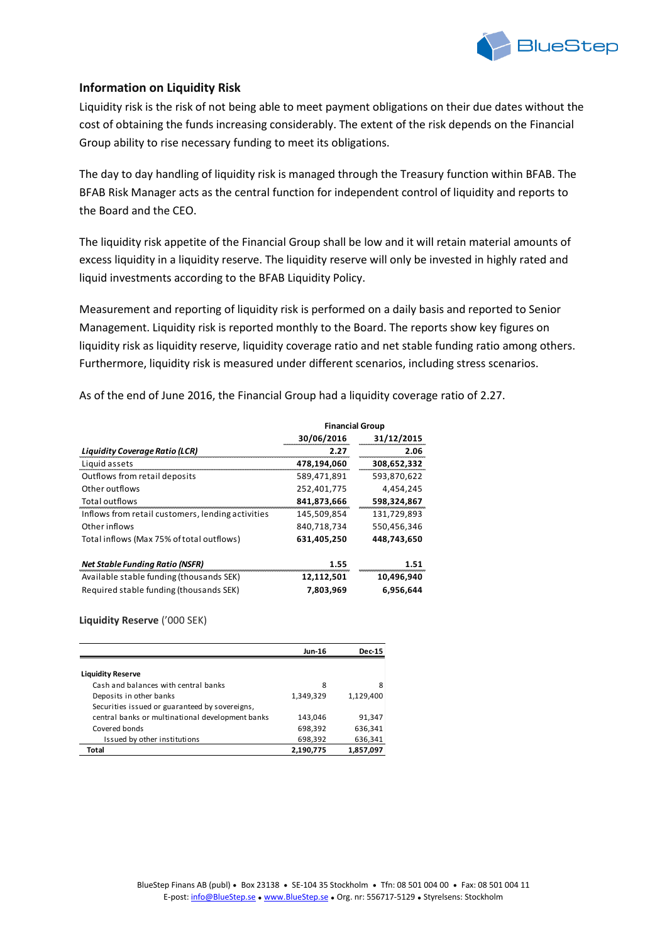

## **Information on Liquidity Risk**

Liquidity risk is the risk of not being able to meet payment obligations on their due dates without the cost of obtaining the funds increasing considerably. The extent of the risk depends on the Financial Group ability to rise necessary funding to meet its obligations.

The day to day handling of liquidity risk is managed through the Treasury function within BFAB. The BFAB Risk Manager acts as the central function for independent control of liquidity and reports to the Board and the CEO.

The liquidity risk appetite of the Financial Group shall be low and it will retain material amounts of excess liquidity in a liquidity reserve. The liquidity reserve will only be invested in highly rated and liquid investments according to the BFAB Liquidity Policy.

Measurement and reporting of liquidity risk is performed on a daily basis and reported to Senior Management. Liquidity risk is reported monthly to the Board. The reports show key figures on liquidity risk as liquidity reserve, liquidity coverage ratio and net stable funding ratio among others. Furthermore, liquidity risk is measured under different scenarios, including stress scenarios.

As of the end of June 2016, the Financial Group had a liquidity coverage ratio of 2.27.

|                                                   | <b>Financial Group</b> |             |  |
|---------------------------------------------------|------------------------|-------------|--|
|                                                   | 30/06/2016             | 31/12/2015  |  |
| <b>Liquidity Coverage Ratio (LCR)</b>             | 2.27                   | 2.06        |  |
| Liquid assets                                     | 478,194,060            | 308,652,332 |  |
| Outflows from retail deposits                     | 589,471,891            | 593,870,622 |  |
| Other outflows                                    | 252,401,775            | 4,454,245   |  |
| Total outflows                                    | 841,873,666            | 598,324,867 |  |
| Inflows from retail customers, lending activities | 145,509,854            | 131,729,893 |  |
| Other inflows                                     | 840.718.734            | 550.456.346 |  |
| Total inflows (Max 75% of total outflows)         | 631.405.250            | 448.743.650 |  |
| <b>Net Stable Funding Ratio (NSFR)</b>            | 1.55                   | 1.51        |  |
| Available stable funding (thousands SEK)          | 12,112,501             | 10,496,940  |  |
| Required stable funding (thousands SEK)           | 7.803.969              | 6.956.644   |  |

#### **Liquidity Reserve** ('000 SEK)

|                                                  | Jun-16    | <b>Dec-15</b> |
|--------------------------------------------------|-----------|---------------|
|                                                  |           |               |
| <b>Liquidity Reserve</b>                         |           |               |
| Cash and balances with central banks             | 8         | 8             |
| Deposits in other banks                          | 1,349,329 | 1,129,400     |
| Securities issued or guaranteed by sovereigns.   |           |               |
| central banks or multinational development banks | 143,046   | 91,347        |
| Covered bonds                                    | 698,392   | 636,341       |
| Issued by other institutions                     | 698,392   | 636,341       |
| Total                                            | 2,190,775 | 1,857,097     |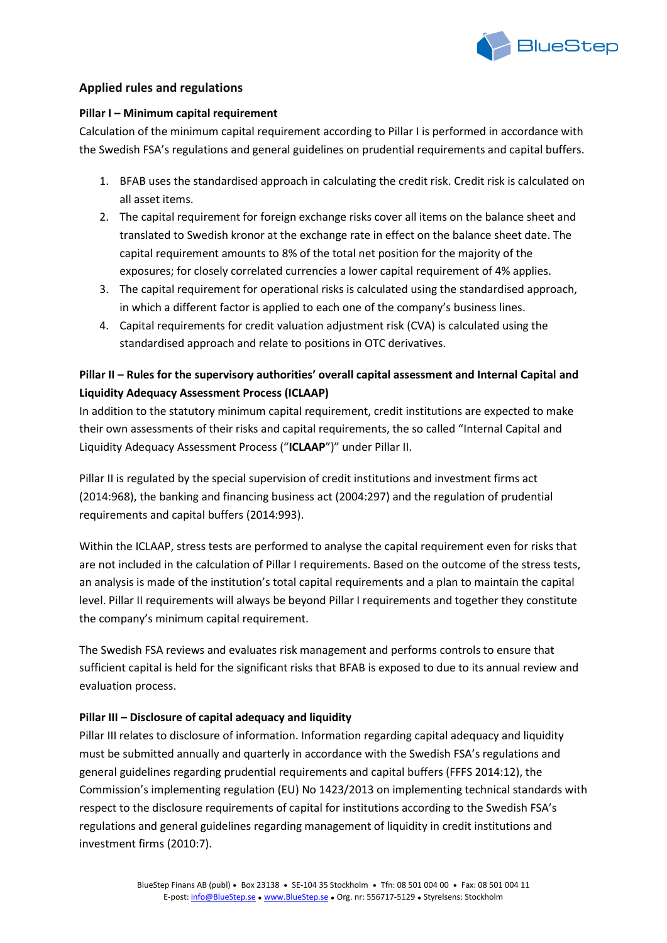

## **Applied rules and regulations**

## **Pillar I – Minimum capital requirement**

Calculation of the minimum capital requirement according to Pillar I is performed in accordance with the Swedish FSA's regulations and general guidelines on prudential requirements and capital buffers.

- 1. BFAB uses the standardised approach in calculating the credit risk. Credit risk is calculated on all asset items.
- 2. The capital requirement for foreign exchange risks cover all items on the balance sheet and translated to Swedish kronor at the exchange rate in effect on the balance sheet date. The capital requirement amounts to 8% of the total net position for the majority of the exposures; for closely correlated currencies a lower capital requirement of 4% applies.
- 3. The capital requirement for operational risks is calculated using the standardised approach, in which a different factor is applied to each one of the company's business lines.
- 4. Capital requirements for credit valuation adjustment risk (CVA) is calculated using the standardised approach and relate to positions in OTC derivatives.

## **Pillar II – Rules for the supervisory authorities' overall capital assessment and Internal Capital and Liquidity Adequacy Assessment Process (ICLAAP)**

In addition to the statutory minimum capital requirement, credit institutions are expected to make their own assessments of their risks and capital requirements, the so called "Internal Capital and Liquidity Adequacy Assessment Process ("**ICLAAP**")" under Pillar II.

Pillar II is regulated by the special supervision of credit institutions and investment firms act (2014:968), the banking and financing business act (2004:297) and the regulation of prudential requirements and capital buffers (2014:993).

Within the ICLAAP, stress tests are performed to analyse the capital requirement even for risks that are not included in the calculation of Pillar I requirements. Based on the outcome of the stress tests, an analysis is made of the institution's total capital requirements and a plan to maintain the capital level. Pillar II requirements will always be beyond Pillar I requirements and together they constitute the company's minimum capital requirement.

The Swedish FSA reviews and evaluates risk management and performs controls to ensure that sufficient capital is held for the significant risks that BFAB is exposed to due to its annual review and evaluation process.

## **Pillar III – Disclosure of capital adequacy and liquidity**

Pillar III relates to disclosure of information. Information regarding capital adequacy and liquidity must be submitted annually and quarterly in accordance with the Swedish FSA's regulations and general guidelines regarding prudential requirements and capital buffers (FFFS 2014:12), the Commission's implementing regulation (EU) No 1423/2013 on implementing technical standards with respect to the disclosure requirements of capital for institutions according to the Swedish FSA's regulations and general guidelines regarding management of liquidity in credit institutions and investment firms (2010:7).